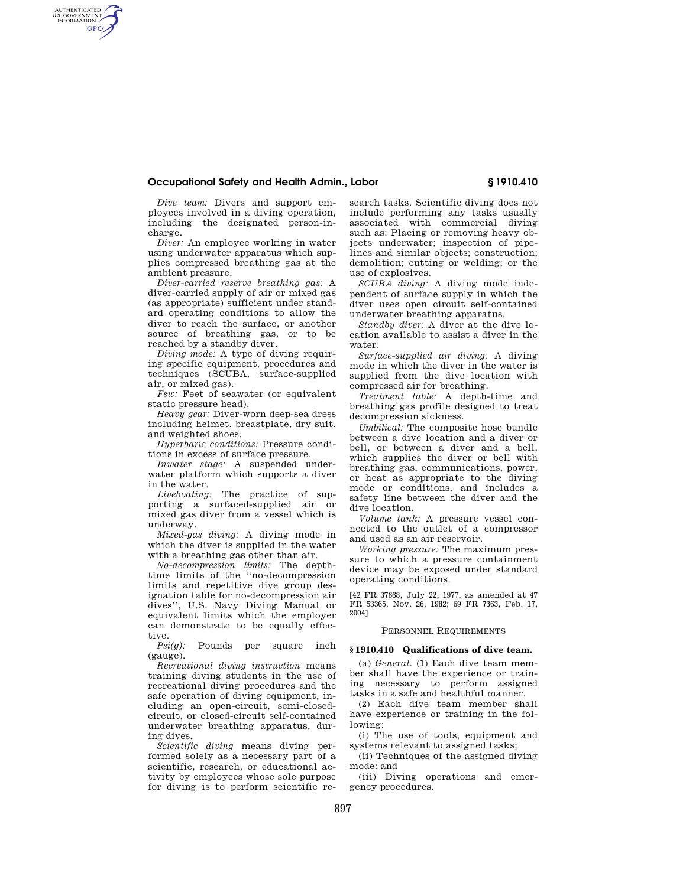# **Occupational Safety and Health Admin., Labor § 1910.410**

*Dive team:* Divers and support employees involved in a diving operation, including the designated person-incharge.

AUTHENTICATED<br>U.S. GOVERNMENT<br>INFORMATION **GPO** 

> *Diver:* An employee working in water using underwater apparatus which supplies compressed breathing gas at the ambient pressure.

> *Diver-carried reserve breathing gas:* A diver-carried supply of air or mixed gas (as appropriate) sufficient under standard operating conditions to allow the diver to reach the surface, or another source of breathing gas, or to be reached by a standby diver.

> *Diving mode:* A type of diving requiring specific equipment, procedures and techniques (SCUBA, surface-supplied air, or mixed gas).

> *Fsw:* Feet of seawater (or equivalent static pressure head).

> *Heavy gear:* Diver-worn deep-sea dress including helmet, breastplate, dry suit, and weighted shoes.

> *Hyperbaric conditions:* Pressure conditions in excess of surface pressure.

> *Inwater stage:* A suspended underwater platform which supports a diver in the water.

> *Liveboating:* The practice of supporting a surfaced-supplied air or mixed gas diver from a vessel which is underway.

*Mixed-gas diving:* A diving mode in which the diver is supplied in the water with a breathing gas other than air.

*No-decompression limits:* The depthtime limits of the ''no-decompression limits and repetitive dive group designation table for no-decompression air dives'', U.S. Navy Diving Manual or equivalent limits which the employer can demonstrate to be equally effective.

*Psi(g):* Pounds per square inch (gauge).

*Recreational diving instruction* means training diving students in the use of recreational diving procedures and the safe operation of diving equipment, including an open-circuit, semi-closedcircuit, or closed-circuit self-contained underwater breathing apparatus, during dives.

*Scientific diving* means diving performed solely as a necessary part of a scientific, research, or educational activity by employees whose sole purpose for diving is to perform scientific research tasks. Scientific diving does not include performing any tasks usually associated with commercial diving such as: Placing or removing heavy objects underwater; inspection of pipelines and similar objects; construction; demolition; cutting or welding; or the use of explosives.

*SCUBA diving:* A diving mode independent of surface supply in which the diver uses open circuit self-contained underwater breathing apparatus.

*Standby diver:* A diver at the dive location available to assist a diver in the water.

*Surface-supplied air diving:* A diving mode in which the diver in the water is supplied from the dive location with compressed air for breathing.

*Treatment table:* A depth-time and breathing gas profile designed to treat decompression sickness.

*Umbilical:* The composite hose bundle between a dive location and a diver or bell, or between a diver and a bell, which supplies the diver or bell with breathing gas, communications, power, or heat as appropriate to the diving mode or conditions, and includes a safety line between the diver and the dive location.

*Volume tank:* A pressure vessel connected to the outlet of a compressor and used as an air reservoir.

*Working pressure:* The maximum pressure to which a pressure containment device may be exposed under standard operating conditions.

[42 FR 37668, July 22, 1977, as amended at 47 FR 53365, Nov. 26, 1982; 69 FR 7363, Feb. 17, 2004]

### PERSONNEL REQUIREMENTS

### **§ 1910.410 Qualifications of dive team.**

(a) *General.* (1) Each dive team member shall have the experience or training necessary to perform assigned tasks in a safe and healthful manner.

(2) Each dive team member shall have experience or training in the following:

(i) The use of tools, equipment and systems relevant to assigned tasks;

(ii) Techniques of the assigned diving mode: and

(iii) Diving operations and emergency procedures.